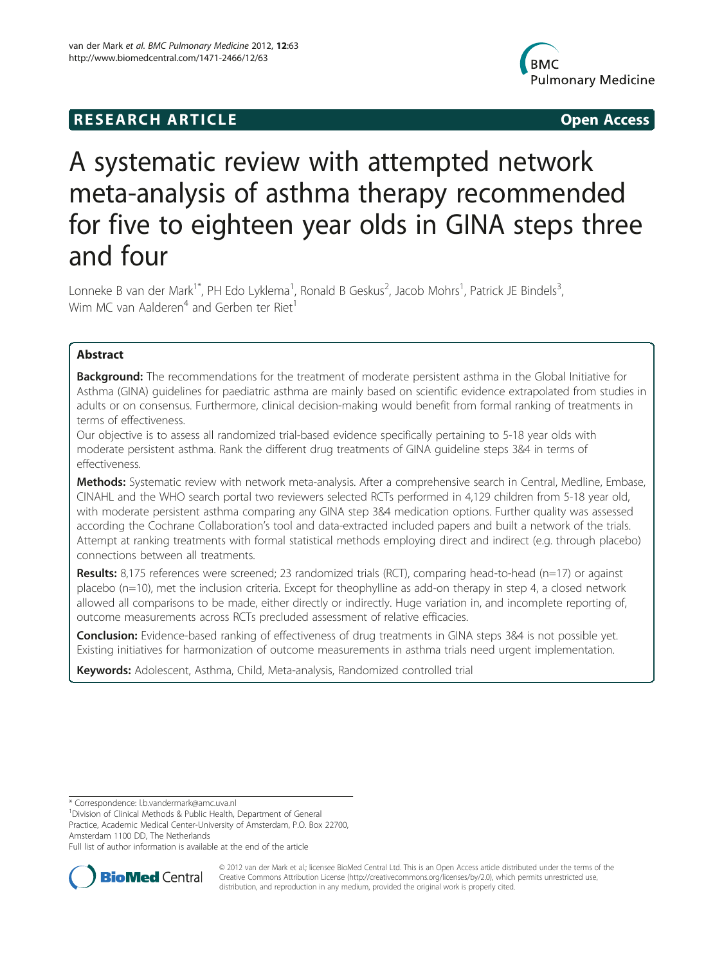# **RESEARCH ARTICLE Example 2018 12:00 Open Access**



# A systematic review with attempted network meta-analysis of asthma therapy recommended for five to eighteen year olds in GINA steps three and four

Lonneke B van der Mark<sup>1\*</sup>, PH Edo Lyklema<sup>1</sup>, Ronald B Geskus<sup>2</sup>, Jacob Mohrs<sup>1</sup>, Patrick JE Bindels<sup>3</sup> , Wim MC van Aalderen<sup>4</sup> and Gerben ter Riet<sup>1</sup>

# Abstract

Background: The recommendations for the treatment of moderate persistent asthma in the Global Initiative for Asthma (GINA) guidelines for paediatric asthma are mainly based on scientific evidence extrapolated from studies in adults or on consensus. Furthermore, clinical decision-making would benefit from formal ranking of treatments in terms of effectiveness.

Our objective is to assess all randomized trial-based evidence specifically pertaining to 5-18 year olds with moderate persistent asthma. Rank the different drug treatments of GINA guideline steps 3&4 in terms of effectiveness.

Methods: Systematic review with network meta-analysis. After a comprehensive search in Central, Medline, Embase, CINAHL and the WHO search portal two reviewers selected RCTs performed in 4,129 children from 5-18 year old, with moderate persistent asthma comparing any GINA step 3&4 medication options. Further quality was assessed according the Cochrane Collaboration's tool and data-extracted included papers and built a network of the trials. Attempt at ranking treatments with formal statistical methods employing direct and indirect (e.g. through placebo) connections between all treatments.

Results: 8,175 references were screened; 23 randomized trials (RCT), comparing head-to-head (n=17) or against placebo (n=10), met the inclusion criteria. Except for theophylline as add-on therapy in step 4, a closed network allowed all comparisons to be made, either directly or indirectly. Huge variation in, and incomplete reporting of, outcome measurements across RCTs precluded assessment of relative efficacies.

Conclusion: Evidence-based ranking of effectiveness of drug treatments in GINA steps 3&4 is not possible yet. Existing initiatives for harmonization of outcome measurements in asthma trials need urgent implementation.

Keywords: Adolescent, Asthma, Child, Meta-analysis, Randomized controlled trial

\* Correspondence: [l.b.vandermark@amc.uva.nl](mailto:l.b.vandermark@amc.uva.nl) <sup>1</sup>

<sup>1</sup> Division of Clinical Methods & Public Health, Department of General

Practice, Academic Medical Center-University of Amsterdam, P.O. Box 22700, Amsterdam 1100 DD, The Netherlands

Full list of author information is available at the end of the article



© 2012 van der Mark et al.; licensee BioMed Central Ltd. This is an Open Access article distributed under the terms of the Creative Commons Attribution License (<http://creativecommons.org/licenses/by/2.0>), which permits unrestricted use, distribution, and reproduction in any medium, provided the original work is properly cited.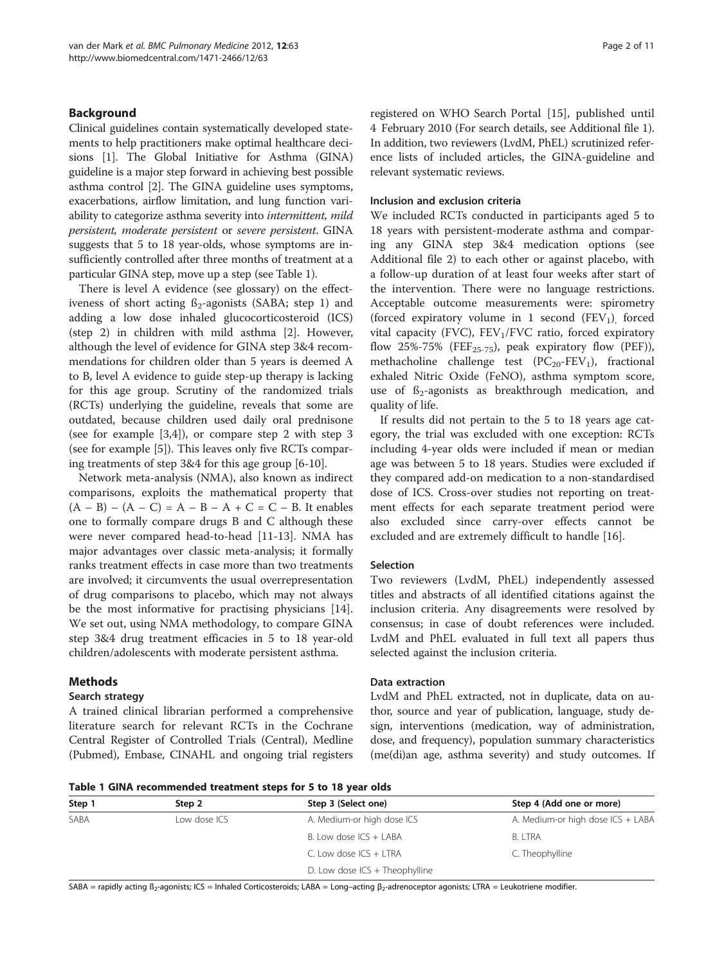# Background

Clinical guidelines contain systematically developed statements to help practitioners make optimal healthcare decisions [\[1\]](#page-9-0). The Global Initiative for Asthma (GINA) guideline is a major step forward in achieving best possible asthma control [[2\]](#page-9-0). The GINA guideline uses symptoms, exacerbations, airflow limitation, and lung function variability to categorize asthma severity into intermittent, mild persistent, moderate persistent or severe persistent. GINA suggests that 5 to 18 year-olds, whose symptoms are insufficiently controlled after three months of treatment at a particular GINA step, move up a step (see Table 1).

There is level A evidence (see glossary) on the effectiveness of short acting  $\beta_2$ -agonists (SABA; step 1) and adding a low dose inhaled glucocorticosteroid (ICS) (step 2) in children with mild asthma [\[2](#page-9-0)]. However, although the level of evidence for GINA step 3&4 recommendations for children older than 5 years is deemed A to B, level A evidence to guide step-up therapy is lacking for this age group. Scrutiny of the randomized trials (RCTs) underlying the guideline, reveals that some are outdated, because children used daily oral prednisone (see for example [\[3,4](#page-9-0)]), or compare step 2 with step 3 (see for example [[5\]](#page-9-0)). This leaves only five RCTs comparing treatments of step 3&4 for this age group [[6-10](#page-9-0)].

Network meta-analysis (NMA), also known as indirect comparisons, exploits the mathematical property that  $(A - B) - (A - C) = A - B - A + C = C - B$ . It enables one to formally compare drugs B and C although these were never compared head-to-head [\[11](#page-9-0)-[13](#page-9-0)]. NMA has major advantages over classic meta-analysis; it formally ranks treatment effects in case more than two treatments are involved; it circumvents the usual overrepresentation of drug comparisons to placebo, which may not always be the most informative for practising physicians [\[14](#page-9-0)]. We set out, using NMA methodology, to compare GINA step 3&4 drug treatment efficacies in 5 to 18 year-old children/adolescents with moderate persistent asthma.

# Methods

# Search strategy

A trained clinical librarian performed a comprehensive literature search for relevant RCTs in the Cochrane Central Register of Controlled Trials (Central), Medline (Pubmed), Embase, CINAHL and ongoing trial registers

registered on WHO Search Portal [[15\]](#page-9-0), published until 4 February 2010 (For search details, see [Additional file 1](#page-8-0)). In addition, two reviewers (LvdM, PhEL) scrutinized reference lists of included articles, the GINA-guideline and relevant systematic reviews.

# Inclusion and exclusion criteria

We included RCTs conducted in participants aged 5 to 18 years with persistent-moderate asthma and comparing any GINA step 3&4 medication options (see [Additional file 2\)](#page-8-0) to each other or against placebo, with a follow-up duration of at least four weeks after start of the intervention. There were no language restrictions. Acceptable outcome measurements were: spirometry (forced expiratory volume in 1 second  $(FEV_1)$  forced vital capacity (FVC),  $FEV<sub>1</sub>/FVC$  ratio, forced expiratory flow 25%-75% (FEF<sub>25-75</sub>), peak expiratory flow (PEF)), methacholine challenge test  $(PC_{20}-FEV_1)$ , fractional exhaled Nitric Oxide (FeNO), asthma symptom score, use of  $\beta_2$ -agonists as breakthrough medication, and quality of life.

If results did not pertain to the 5 to 18 years age category, the trial was excluded with one exception: RCTs including 4-year olds were included if mean or median age was between 5 to 18 years. Studies were excluded if they compared add-on medication to a non-standardised dose of ICS. Cross-over studies not reporting on treatment effects for each separate treatment period were also excluded since carry-over effects cannot be excluded and are extremely difficult to handle [\[16](#page-9-0)].

# Selection

Two reviewers (LvdM, PhEL) independently assessed titles and abstracts of all identified citations against the inclusion criteria. Any disagreements were resolved by consensus; in case of doubt references were included. LvdM and PhEL evaluated in full text all papers thus selected against the inclusion criteria.

# Data extraction

LvdM and PhEL extracted, not in duplicate, data on author, source and year of publication, language, study design, interventions (medication, way of administration, dose, and frequency), population summary characteristics (me(di)an age, asthma severity) and study outcomes. If

Table 1 GINA recommended treatment steps for 5 to 18 year olds

| Step 1 | Step 2       | Step 3 (Select one)            | Step 4 (Add one or more)          |  |  |  |  |
|--------|--------------|--------------------------------|-----------------------------------|--|--|--|--|
| SABA   | Low dose ICS | A. Medium-or high dose ICS     | A. Medium-or high dose ICS + LABA |  |  |  |  |
|        |              | B. Low dose ICS + LABA         | <b>B. LTRA</b>                    |  |  |  |  |
|        |              | C. Low dose $ICS + LTRA$       | C. Theophylline                   |  |  |  |  |
|        |              | D. Low dose ICS + Theophylline |                                   |  |  |  |  |
|        |              |                                |                                   |  |  |  |  |

SABA = rapidly acting  $B_2$ -agonists; ICS = Inhaled Corticosteroids; LABA = Long-acting  $B_2$ -adrenoceptor agonists; LTRA = Leukotriene modifier.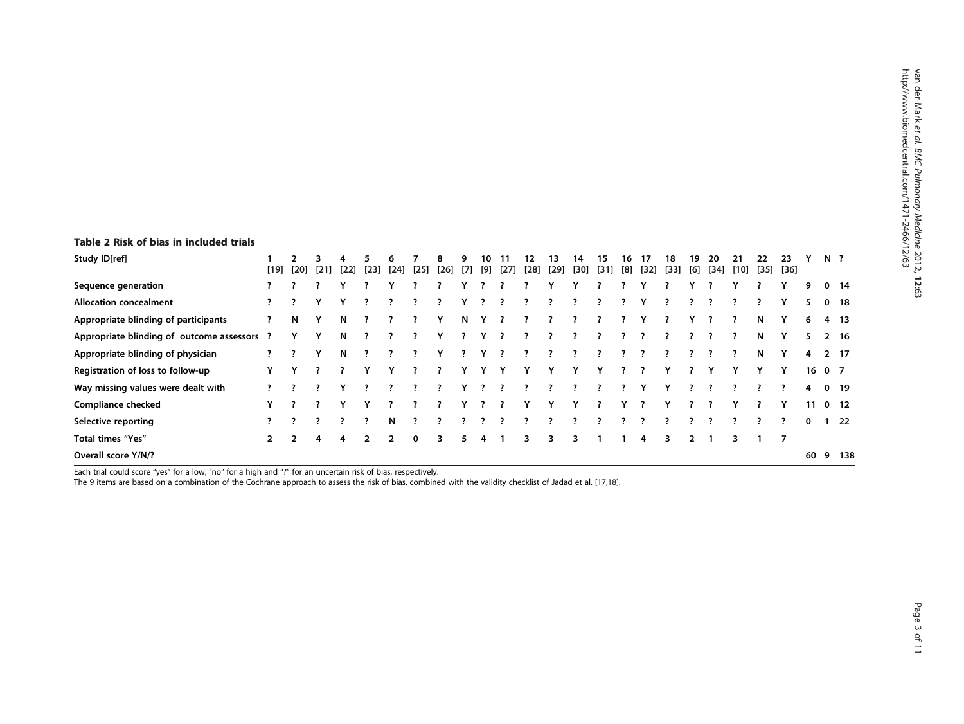# <span id="page-2-0"></span>Table 2 Risk of bias in included trials

| Study ID[ref]                               | [19]        | $[20]$        | [21] | [22] | $[23]$ | n<br>[24] | $[25]$ | [26] | q<br>[7] | 10<br>[9] | $[27]$ | 12<br>$[28]$ | $[29]$ | 14<br>[30] | 15<br>$[31]$ | ١h<br>[8] | $[32]$ | 18<br>$[33]$ | 19<br>[6] | 20<br>[34] | $[10]$ | つつ<br>$[35]$ | 23<br>$[36]$ |    | N ?         |                 |
|---------------------------------------------|-------------|---------------|------|------|--------|-----------|--------|------|----------|-----------|--------|--------------|--------|------------|--------------|-----------|--------|--------------|-----------|------------|--------|--------------|--------------|----|-------------|-----------------|
| Sequence generation                         |             |               |      |      |        |           |        |      |          |           |        |              |        |            |              |           |        |              |           |            |        |              |              | 9  | $\bf{0}$    | -14             |
| <b>Allocation concealment</b>               |             |               |      |      |        |           |        |      |          |           |        |              |        |            |              |           |        |              |           |            |        |              |              | 5. | $\mathbf 0$ | 18              |
| Appropriate blinding of participants        |             | N             |      | N    |        |           |        |      | N        |           |        |              |        |            |              |           |        |              |           |            |        | N            |              | 6  |             | 4 13            |
| Appropriate blinding of outcome assessors ? |             |               |      | N    |        |           |        |      |          |           |        |              |        |            |              |           |        |              |           |            |        | N            |              | 5. |             | $2 \quad 16$    |
| Appropriate blinding of physician           |             |               |      | N    |        |           |        |      |          |           |        |              |        |            |              |           |        |              |           |            |        | N            |              | 4  |             | 2 17            |
| Registration of loss to follow-up           |             |               |      |      |        |           |        |      |          |           |        |              |        |            |              |           |        |              |           |            |        |              |              |    | 1607        |                 |
| Way missing values were dealt with          |             |               |      |      |        |           |        |      |          |           |        |              |        |            |              |           |        |              |           |            |        |              |              | 4  | $\mathbf 0$ | -19             |
| <b>Compliance checked</b>                   | v           |               |      |      |        |           |        |      |          |           |        |              |        |            |              |           |        |              |           |            |        |              |              | 11 |             | 0 <sub>12</sub> |
| Selective reporting                         |             |               |      |      |        | N         |        |      |          |           |        |              |        |            |              |           |        |              |           |            |        |              |              | 0  |             | 22              |
| Total times "Yes"                           | $2^{\circ}$ | $\mathcal{P}$ | 4    | 4    | 2      | 2         | 0      | 3.   | 5.       | 4         |        | 3            | 3      | ٦          |              |           | 4      | 3.           |           |            |        |              | 7            |    |             |                 |
| Overall score Y/N/?                         |             |               |      |      |        |           |        |      |          |           |        |              |        |            |              |           |        |              |           |            |        |              |              | 60 | 9           | 138             |

Each trial could score "yes" for a low, "no" for a high and "?" for an uncertain risk of bias, respectively.

The 9 items are based on a combination of the Cochrane approach to assess the risk of bias, combined with the validity checklist of Jadad et al. [[17,18\]](#page-9-0).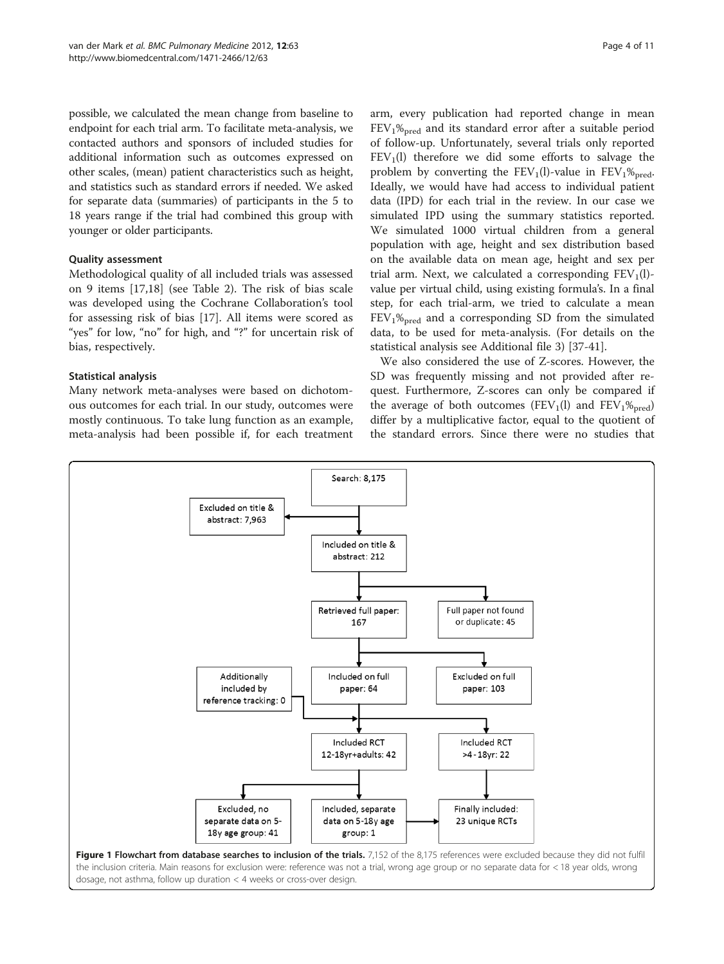<span id="page-3-0"></span>possible, we calculated the mean change from baseline to endpoint for each trial arm. To facilitate meta-analysis, we contacted authors and sponsors of included studies for additional information such as outcomes expressed on other scales, (mean) patient characteristics such as height, and statistics such as standard errors if needed. We asked for separate data (summaries) of participants in the 5 to 18 years range if the trial had combined this group with younger or older participants.

# Quality assessment

Methodological quality of all included trials was assessed on 9 items [[17,18\]](#page-9-0) (see Table [2\)](#page-2-0). The risk of bias scale was developed using the Cochrane Collaboration's tool for assessing risk of bias [\[17](#page-9-0)]. All items were scored as "yes" for low, "no" for high, and "?" for uncertain risk of bias, respectively.

# Statistical analysis

Many network meta-analyses were based on dichotomous outcomes for each trial. In our study, outcomes were mostly continuous. To take lung function as an example, meta-analysis had been possible if, for each treatment

arm, every publication had reported change in mean  $FEV<sub>1</sub>%<sub>pred</sub>$  and its standard error after a suitable period of follow-up. Unfortunately, several trials only reported  $FEV<sub>1</sub>(l)$  therefore we did some efforts to salvage the problem by converting the  $FEV_1(l)$ -value in  $FEV_1\%_{pred}$ . Ideally, we would have had access to individual patient data (IPD) for each trial in the review. In our case we simulated IPD using the summary statistics reported. We simulated 1000 virtual children from a general population with age, height and sex distribution based on the available data on mean age, height and sex per trial arm. Next, we calculated a corresponding  $FEV<sub>1</sub>(l)$ value per virtual child, using existing formula's. In a final step, for each trial-arm, we tried to calculate a mean  $FEV<sub>1</sub>%<sub>pred</sub>$  and a corresponding SD from the simulated data, to be used for meta-analysis. (For details on the statistical analysis see [Additional file 3\)](#page-8-0) [[37-41](#page-10-0)].

We also considered the use of Z-scores. However, the SD was frequently missing and not provided after request. Furthermore, Z-scores can only be compared if the average of both outcomes (FEV<sub>1</sub>(l) and FEV<sub>1</sub>%<sub>pred</sub>) differ by a multiplicative factor, equal to the quotient of the standard errors. Since there were no studies that

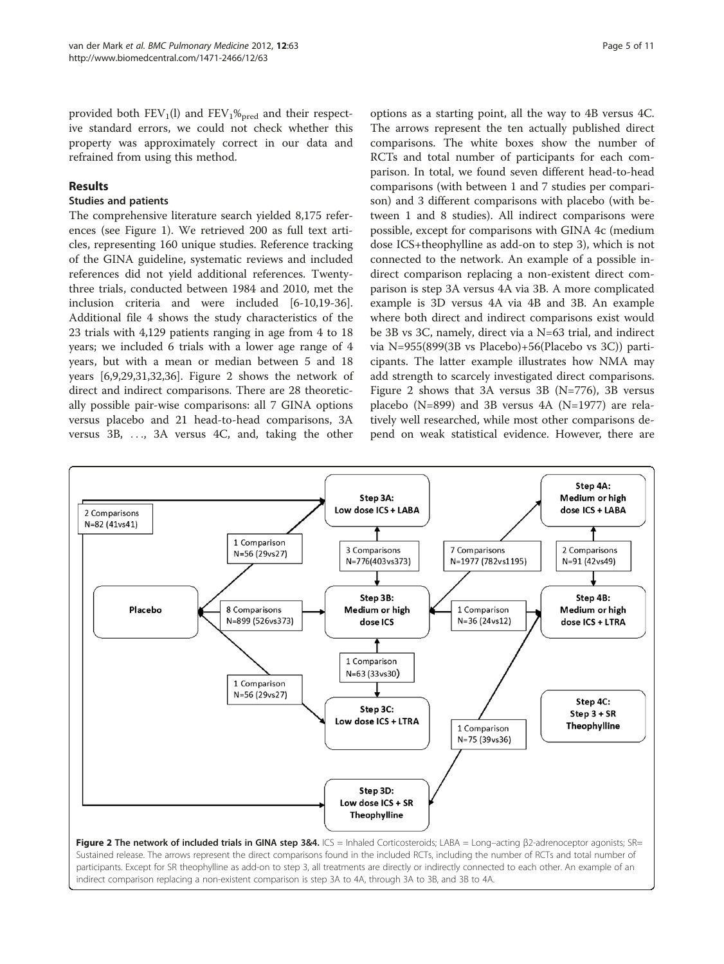<span id="page-4-0"></span>provided both  $FEV<sub>1</sub>(I)$  and  $FEV<sub>1</sub>%<sub>pred</sub>$  and their respective standard errors, we could not check whether this property was approximately correct in our data and refrained from using this method.

# Results

# Studies and patients

The comprehensive literature search yielded 8,175 references (see Figure [1\)](#page-3-0). We retrieved 200 as full text articles, representing 160 unique studies. Reference tracking of the GINA guideline, systematic reviews and included references did not yield additional references. Twentythree trials, conducted between 1984 and 2010, met the inclusion criteria and were included [[6-10,19](#page-9-0)[-36](#page-10-0)]. [Additional file 4](#page-8-0) shows the study characteristics of the 23 trials with 4,129 patients ranging in age from 4 to 18 years; we included 6 trials with a lower age range of 4 years, but with a mean or median between 5 and 18 years [\[6](#page-9-0),[9](#page-9-0),[29](#page-9-0),[31](#page-9-0),[32](#page-9-0)[,36](#page-10-0)]. Figure 2 shows the network of direct and indirect comparisons. There are 28 theoretically possible pair-wise comparisons: all 7 GINA options versus placebo and 21 head-to-head comparisons, 3A versus 3B, ..., 3A versus 4C, and, taking the other options as a starting point, all the way to 4B versus 4C. The arrows represent the ten actually published direct comparisons. The white boxes show the number of RCTs and total number of participants for each comparison. In total, we found seven different head-to-head comparisons (with between 1 and 7 studies per comparison) and 3 different comparisons with placebo (with between 1 and 8 studies). All indirect comparisons were possible, except for comparisons with GINA 4c (medium dose ICS+theophylline as add-on to step 3), which is not connected to the network. An example of a possible indirect comparison replacing a non-existent direct comparison is step 3A versus 4A via 3B. A more complicated example is 3D versus 4A via 4B and 3B. An example where both direct and indirect comparisons exist would be 3B vs 3C, namely, direct via a N=63 trial, and indirect via N=955(899(3B vs Placebo)+56(Placebo vs 3C)) participants. The latter example illustrates how NMA may add strength to scarcely investigated direct comparisons. Figure 2 shows that 3A versus 3B (N=776), 3B versus placebo (N=899) and 3B versus 4A (N=1977) are relatively well researched, while most other comparisons depend on weak statistical evidence. However, there are

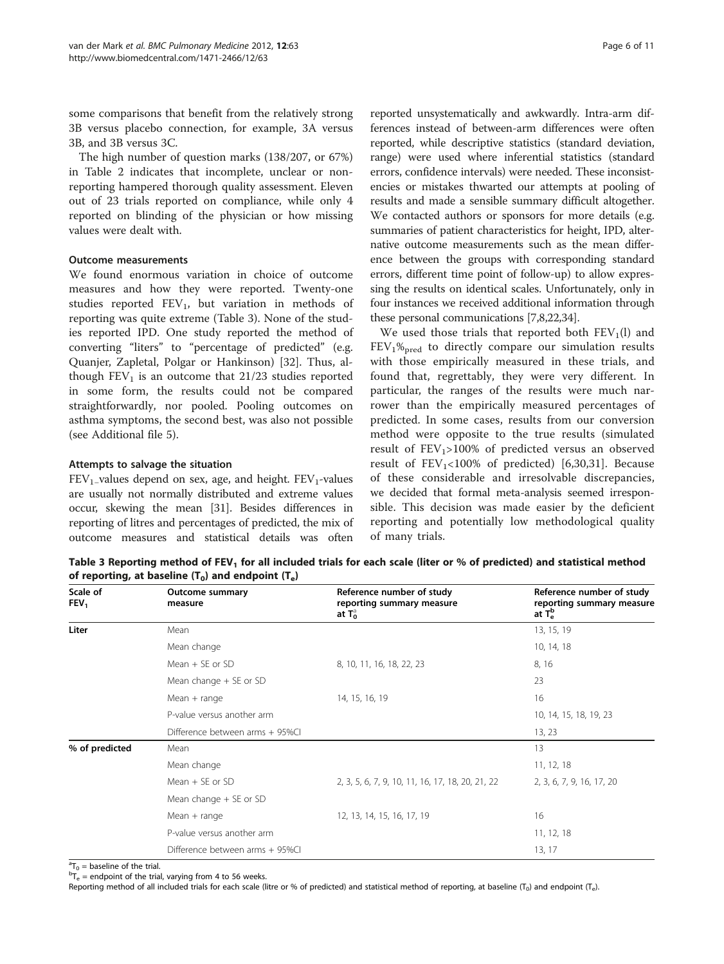some comparisons that benefit from the relatively strong 3B versus placebo connection, for example, 3A versus 3B, and 3B versus 3C.

The high number of question marks (138/207, or 67%) in Table [2](#page-2-0) indicates that incomplete, unclear or nonreporting hampered thorough quality assessment. Eleven out of 23 trials reported on compliance, while only 4 reported on blinding of the physician or how missing values were dealt with.

# Outcome measurements

We found enormous variation in choice of outcome measures and how they were reported. Twenty-one studies reported  $FEV_1$ , but variation in methods of reporting was quite extreme (Table 3). None of the studies reported IPD. One study reported the method of converting "liters" to "percentage of predicted" (e.g. Quanjer, Zapletal, Polgar or Hankinson) [\[32](#page-9-0)]. Thus, although  $FEV<sub>1</sub>$  is an outcome that 21/23 studies reported in some form, the results could not be compared straightforwardly, nor pooled. Pooling outcomes on asthma symptoms, the second best, was also not possible (see [Additional file 5\)](#page-8-0).

# Attempts to salvage the situation

 $FEV<sub>1</sub>$ -values depend on sex, age, and height.  $FEV<sub>1</sub>$ -values are usually not normally distributed and extreme values occur, skewing the mean [\[31\]](#page-9-0). Besides differences in reporting of litres and percentages of predicted, the mix of outcome measures and statistical details was often reported unsystematically and awkwardly. Intra-arm differences instead of between-arm differences were often reported, while descriptive statistics (standard deviation, range) were used where inferential statistics (standard errors, confidence intervals) were needed. These inconsistencies or mistakes thwarted our attempts at pooling of results and made a sensible summary difficult altogether. We contacted authors or sponsors for more details (e.g. summaries of patient characteristics for height, IPD, alternative outcome measurements such as the mean difference between the groups with corresponding standard errors, different time point of follow-up) to allow expressing the results on identical scales. Unfortunately, only in four instances we received additional information through these personal communications [[7,8,22](#page-9-0)[,34\]](#page-10-0).

We used those trials that reported both  $FEV<sub>1</sub>(l)$  and  $FEV<sub>1</sub>%<sub>pred</sub>$  to directly compare our simulation results with those empirically measured in these trials, and found that, regrettably, they were very different. In particular, the ranges of the results were much narrower than the empirically measured percentages of predicted. In some cases, results from our conversion method were opposite to the true results (simulated result of  $FEV<sub>1</sub> > 100%$  of predicted versus an observed result of  $FEV_1<100%$  of predicted) [\[6,30](#page-9-0),[31\]](#page-9-0). Because of these considerable and irresolvable discrepancies, we decided that formal meta-analysis seemed irresponsible. This decision was made easier by the deficient reporting and potentially low methodological quality of many trials.

Table 3 Reporting method of FEV<sub>1</sub> for all included trials for each scale (liter or % of predicted) and statistical method of reporting, at baseline  $(T_0)$  and endpoint  $(T_e)$ 

| Scale of<br>FEV <sub>1</sub> | <b>Outcome summary</b><br>measure | Reference number of study<br>reporting summary measure<br>at $T_0$ | Reference number of study<br>reporting summary measure<br>at $T_e^b$ |
|------------------------------|-----------------------------------|--------------------------------------------------------------------|----------------------------------------------------------------------|
| Liter                        | Mean                              |                                                                    | 13, 15, 19                                                           |
|                              | Mean change                       |                                                                    | 10, 14, 18                                                           |
|                              | Mean $+$ SF or SD                 | 8, 10, 11, 16, 18, 22, 23                                          | 8, 16                                                                |
|                              | Mean change $+$ SE or SD          |                                                                    | 23                                                                   |
|                              | Mean $+$ range                    | 14, 15, 16, 19                                                     | 16                                                                   |
|                              | P-value versus another arm        |                                                                    | 10, 14, 15, 18, 19, 23                                               |
|                              | Difference between arms + 95%Cl   |                                                                    | 13, 23                                                               |
| % of predicted               | Mean                              |                                                                    | 13                                                                   |
|                              | Mean change                       |                                                                    | 11, 12, 18                                                           |
|                              | Mean $+$ SE or SD                 | 2, 3, 5, 6, 7, 9, 10, 11, 16, 17, 18, 20, 21, 22                   | 2, 3, 6, 7, 9, 16, 17, 20                                            |
|                              | Mean change $+$ SE or SD          |                                                                    |                                                                      |
|                              | $Mean + range$                    | 12, 13, 14, 15, 16, 17, 19                                         | 16                                                                   |
|                              | P-value versus another arm        |                                                                    | 11, 12, 18                                                           |
|                              | Difference between arms + 95%Cl   |                                                                    | 13, 17                                                               |

 ${}^{a}T_{0}$  = baseline of the trial.<br> ${}^{b}T_{0}$  = andpoint of the trial.

 ${}^{b}T_{e}$  = endpoint of the trial, varying from 4 to 56 weeks.

Reporting method of all included trials for each scale (litre or % of predicted) and statistical method of reporting, at baseline (T<sub>0</sub>) and endpoint (T<sub>e</sub>).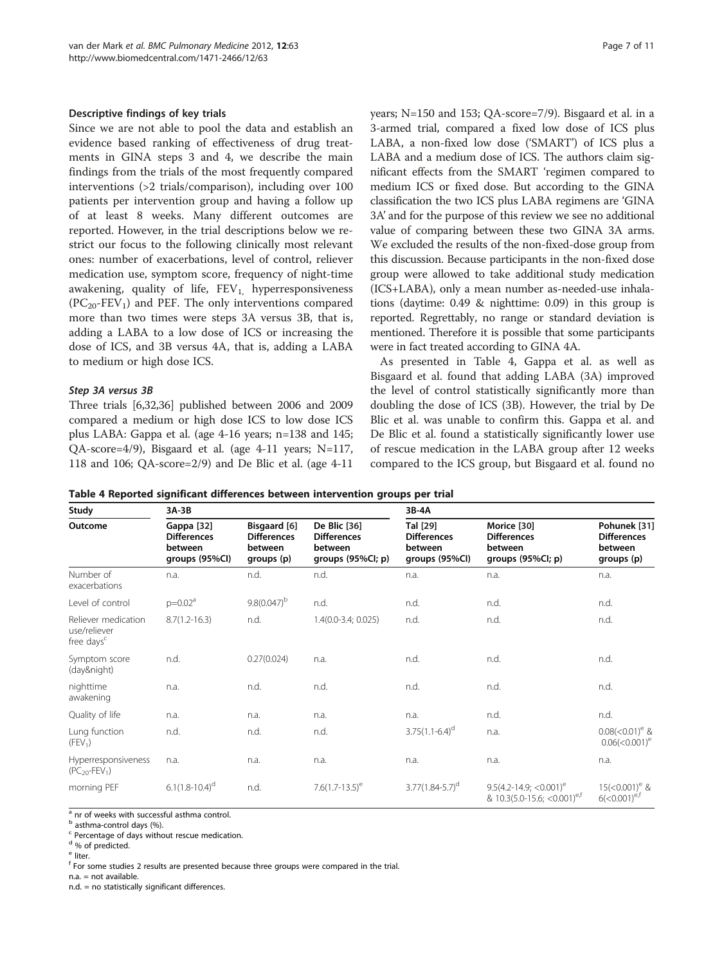#### <span id="page-6-0"></span>Descriptive findings of key trials

Since we are not able to pool the data and establish an evidence based ranking of effectiveness of drug treatments in GINA steps 3 and 4, we describe the main findings from the trials of the most frequently compared interventions (>2 trials/comparison), including over 100 patients per intervention group and having a follow up of at least 8 weeks. Many different outcomes are reported. However, in the trial descriptions below we restrict our focus to the following clinically most relevant ones: number of exacerbations, level of control, reliever medication use, symptom score, frequency of night-time awakening, quality of life,  $FEV<sub>1</sub>$ , hyperresponsiveness  $(PC_{20}$ -FEV<sub>1</sub>) and PEF. The only interventions compared more than two times were steps 3A versus 3B, that is, adding a LABA to a low dose of ICS or increasing the dose of ICS, and 3B versus 4A, that is, adding a LABA to medium or high dose ICS.

#### Step 3A versus 3B

Three trials [\[6,32](#page-9-0),[36](#page-10-0)] published between 2006 and 2009 compared a medium or high dose ICS to low dose ICS plus LABA: Gappa et al. (age 4-16 years; n=138 and 145; QA-score=4/9), Bisgaard et al. (age 4-11 years; N=117, 118 and 106; QA-score=2/9) and De Blic et al. (age 4-11

years; N=150 and 153; QA-score=7/9). Bisgaard et al. in a 3-armed trial, compared a fixed low dose of ICS plus LABA, a non-fixed low dose ('SMART') of ICS plus a LABA and a medium dose of ICS. The authors claim significant effects from the SMART 'regimen compared to medium ICS or fixed dose. But according to the GINA classification the two ICS plus LABA regimens are 'GINA 3A' and for the purpose of this review we see no additional value of comparing between these two GINA 3A arms. We excluded the results of the non-fixed-dose group from this discussion. Because participants in the non-fixed dose group were allowed to take additional study medication (ICS+LABA), only a mean number as-needed-use inhalations (daytime: 0.49 & nighttime: 0.09) in this group is reported. Regrettably, no range or standard deviation is mentioned. Therefore it is possible that some participants were in fact treated according to GINA 4A.

As presented in Table 4, Gappa et al. as well as Bisgaard et al. found that adding LABA (3A) improved the level of control statistically significantly more than doubling the dose of ICS (3B). However, the trial by De Blic et al. was unable to confirm this. Gappa et al. and De Blic et al. found a statistically significantly lower use of rescue medication in the LABA group after 12 weeks compared to the ICS group, but Bisgaard et al. found no

| Table 4 Reported significant differences between intervention groups per trial |  |  |  |  |  |
|--------------------------------------------------------------------------------|--|--|--|--|--|
|--------------------------------------------------------------------------------|--|--|--|--|--|

| Study                                                         | $3A-3B$                                                       |                                                             |                                                                    | 3B-4A                                                       |                                                                                      |                                                             |  |  |  |  |  |
|---------------------------------------------------------------|---------------------------------------------------------------|-------------------------------------------------------------|--------------------------------------------------------------------|-------------------------------------------------------------|--------------------------------------------------------------------------------------|-------------------------------------------------------------|--|--|--|--|--|
| Outcome                                                       | Gappa [32]<br><b>Differences</b><br>between<br>groups (95%Cl) | Bisgaard [6]<br><b>Differences</b><br>between<br>groups (p) | De Blic [36]<br><b>Differences</b><br>between<br>groups (95%Cl; p) | Tal [29]<br><b>Differences</b><br>between<br>groups (95%Cl) | Morice [30]<br><b>Differences</b><br>between<br>groups (95%Cl; p)                    | Pohunek [31]<br><b>Differences</b><br>between<br>groups (p) |  |  |  |  |  |
| Number of<br>exacerbations                                    | n.a.                                                          | n.d.                                                        | n.d.                                                               | n.a.                                                        | n.a.                                                                                 | n.a.                                                        |  |  |  |  |  |
| Level of control                                              | $p=0.02a$                                                     | $9.8(0.047)^{b}$                                            | n.d.                                                               | n.d.                                                        | n.d.                                                                                 | n.d.                                                        |  |  |  |  |  |
| Reliever medication<br>use/reliever<br>free days <sup>c</sup> | $8.7(1.2 - 16.3)$                                             | n.d.                                                        | 1.4(0.0-3.4; 0.025)                                                | n.d.                                                        | n.d.                                                                                 | n.d.                                                        |  |  |  |  |  |
| Symptom score<br>(day&night)                                  | n.d.                                                          | 0.27(0.024)                                                 | n.a.                                                               | n.d.                                                        | n.d.                                                                                 | n.d.                                                        |  |  |  |  |  |
| nighttime<br>awakening                                        | n.a.                                                          | n.d.                                                        | n.d.                                                               | n.d.                                                        | n.d.                                                                                 | n.d.                                                        |  |  |  |  |  |
| Quality of life                                               | n.a.                                                          | n.a.                                                        | n.a.                                                               | n.a.                                                        | n.d.                                                                                 | n.d.                                                        |  |  |  |  |  |
| Lung function<br>(FEV <sub>1</sub> )                          | n.d.                                                          | n.d.                                                        | n.d.                                                               | $3.75(1.1-6.4)^d$                                           | n.a.                                                                                 | $0.08(<0.01)$ <sup>e</sup> &<br>$0.06(< 0.001)^e$           |  |  |  |  |  |
| Hyperresponsiveness<br>$(PC_{20}$ -FEV <sub>1</sub> )         | n.a.                                                          | n.a.                                                        | n.a.                                                               | n.a.                                                        | n.a.                                                                                 | n.a.                                                        |  |  |  |  |  |
| morning PEF                                                   | $6.1(1.8-10.4)^d$                                             | n.d.                                                        | $7.6(1.7-13.5)^e$                                                  | $3.77(1.84 - 5.7)^d$                                        | $9.5(4.2 - 14.9)$ ; <0.001) <sup>e</sup><br>& 10.3(5.0-15.6; < 0.001) <sup>e,f</sup> | $15$ (<0.001) <sup>e</sup> &<br>$6(<0.001)^{e,t}$           |  |  |  |  |  |

 $\frac{a}{a}$  nr of weeks with successful asthma control.

<sup>b</sup> asthma-control days (%).

<sup>c</sup> Percentage of days without rescue medication.

<sup>d</sup> % of predicted.

<sup>e</sup> liter.

<sup>f</sup> For some studies 2 results are presented because three groups were compared in the trial.

n.a. = not available.

n.d. = no statistically significant differences.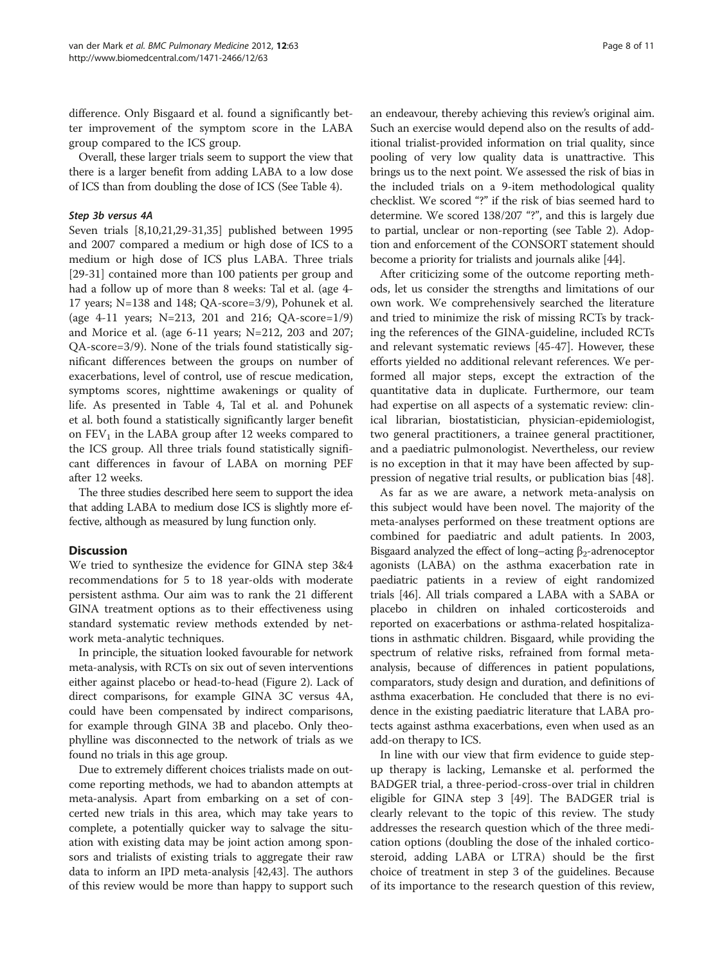difference. Only Bisgaard et al. found a significantly better improvement of the symptom score in the LABA group compared to the ICS group.

Overall, these larger trials seem to support the view that there is a larger benefit from adding LABA to a low dose of ICS than from doubling the dose of ICS (See Table [4](#page-6-0)).

# Step 3b versus 4A

Seven trials [[8,10,21](#page-9-0),[29](#page-9-0)-[31,](#page-9-0)[35\]](#page-10-0) published between 1995 and 2007 compared a medium or high dose of ICS to a medium or high dose of ICS plus LABA. Three trials [[29-31](#page-9-0)] contained more than 100 patients per group and had a follow up of more than 8 weeks: Tal et al. (age 4- 17 years; N=138 and 148; QA-score=3/9), Pohunek et al. (age 4-11 years; N=213, 201 and 216; QA-score=1/9) and Morice et al. (age 6-11 years; N=212, 203 and 207; QA-score=3/9). None of the trials found statistically significant differences between the groups on number of exacerbations, level of control, use of rescue medication, symptoms scores, nighttime awakenings or quality of life. As presented in Table [4,](#page-6-0) Tal et al. and Pohunek et al. both found a statistically significantly larger benefit on  $FEV<sub>1</sub>$  in the LABA group after 12 weeks compared to the ICS group. All three trials found statistically significant differences in favour of LABA on morning PEF after 12 weeks.

The three studies described here seem to support the idea that adding LABA to medium dose ICS is slightly more effective, although as measured by lung function only.

# **Discussion**

We tried to synthesize the evidence for GINA step 3&4 recommendations for 5 to 18 year-olds with moderate persistent asthma. Our aim was to rank the 21 different GINA treatment options as to their effectiveness using standard systematic review methods extended by network meta-analytic techniques.

In principle, the situation looked favourable for network meta-analysis, with RCTs on six out of seven interventions either against placebo or head-to-head (Figure [2](#page-4-0)). Lack of direct comparisons, for example GINA 3C versus 4A, could have been compensated by indirect comparisons, for example through GINA 3B and placebo. Only theophylline was disconnected to the network of trials as we found no trials in this age group.

Due to extremely different choices trialists made on outcome reporting methods, we had to abandon attempts at meta-analysis. Apart from embarking on a set of concerted new trials in this area, which may take years to complete, a potentially quicker way to salvage the situation with existing data may be joint action among sponsors and trialists of existing trials to aggregate their raw data to inform an IPD meta-analysis [\[42,43\]](#page-10-0). The authors of this review would be more than happy to support such

an endeavour, thereby achieving this review's original aim. Such an exercise would depend also on the results of additional trialist-provided information on trial quality, since pooling of very low quality data is unattractive. This brings us to the next point. We assessed the risk of bias in the included trials on a 9-item methodological quality checklist. We scored "?" if the risk of bias seemed hard to determine. We scored 138/207 "?", and this is largely due to partial, unclear or non-reporting (see Table [2\)](#page-2-0). Adoption and enforcement of the CONSORT statement should become a priority for trialists and journals alike [[44](#page-10-0)].

After criticizing some of the outcome reporting methods, let us consider the strengths and limitations of our own work. We comprehensively searched the literature and tried to minimize the risk of missing RCTs by tracking the references of the GINA-guideline, included RCTs and relevant systematic reviews [\[45](#page-10-0)-[47\]](#page-10-0). However, these efforts yielded no additional relevant references. We performed all major steps, except the extraction of the quantitative data in duplicate. Furthermore, our team had expertise on all aspects of a systematic review: clinical librarian, biostatistician, physician-epidemiologist, two general practitioners, a trainee general practitioner, and a paediatric pulmonologist. Nevertheless, our review is no exception in that it may have been affected by suppression of negative trial results, or publication bias [[48\]](#page-10-0).

As far as we are aware, a network meta-analysis on this subject would have been novel. The majority of the meta-analyses performed on these treatment options are combined for paediatric and adult patients. In 2003, Bisgaard analyzed the effect of long–acting  $\beta_2$ -adrenoceptor agonists (LABA) on the asthma exacerbation rate in paediatric patients in a review of eight randomized trials [\[46](#page-10-0)]. All trials compared a LABA with a SABA or placebo in children on inhaled corticosteroids and reported on exacerbations or asthma-related hospitalizations in asthmatic children. Bisgaard, while providing the spectrum of relative risks, refrained from formal metaanalysis, because of differences in patient populations, comparators, study design and duration, and definitions of asthma exacerbation. He concluded that there is no evidence in the existing paediatric literature that LABA protects against asthma exacerbations, even when used as an add-on therapy to ICS.

In line with our view that firm evidence to guide stepup therapy is lacking, Lemanske et al. performed the BADGER trial, a three-period-cross-over trial in children eligible for GINA step 3 [\[49](#page-10-0)]. The BADGER trial is clearly relevant to the topic of this review. The study addresses the research question which of the three medication options (doubling the dose of the inhaled corticosteroid, adding LABA or LTRA) should be the first choice of treatment in step 3 of the guidelines. Because of its importance to the research question of this review,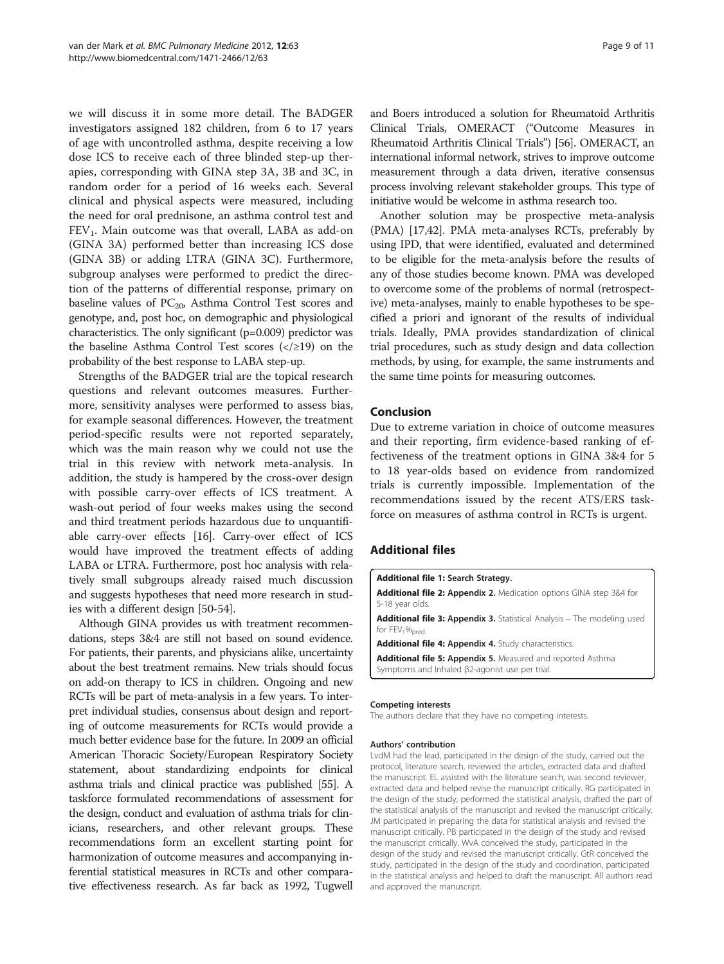<span id="page-8-0"></span>we will discuss it in some more detail. The BADGER investigators assigned 182 children, from 6 to 17 years of age with uncontrolled asthma, despite receiving a low dose ICS to receive each of three blinded step-up therapies, corresponding with GINA step 3A, 3B and 3C, in random order for a period of 16 weeks each. Several clinical and physical aspects were measured, including the need for oral prednisone, an asthma control test and  $FEV<sub>1</sub>$ . Main outcome was that overall, LABA as add-on (GINA 3A) performed better than increasing ICS dose (GINA 3B) or adding LTRA (GINA 3C). Furthermore, subgroup analyses were performed to predict the direction of the patterns of differential response, primary on baseline values of  $PC_{20}$ , Asthma Control Test scores and genotype, and, post hoc, on demographic and physiological characteristics. The only significant (p=0.009) predictor was the baseline Asthma Control Test scores  $\left\langle \langle \rangle 219 \right\rangle$  on the probability of the best response to LABA step-up.

Strengths of the BADGER trial are the topical research questions and relevant outcomes measures. Furthermore, sensitivity analyses were performed to assess bias, for example seasonal differences. However, the treatment period-specific results were not reported separately, which was the main reason why we could not use the trial in this review with network meta-analysis. In addition, the study is hampered by the cross-over design with possible carry-over effects of ICS treatment. A wash-out period of four weeks makes using the second and third treatment periods hazardous due to unquantifiable carry-over effects [\[16\]](#page-9-0). Carry-over effect of ICS would have improved the treatment effects of adding LABA or LTRA. Furthermore, post hoc analysis with relatively small subgroups already raised much discussion and suggests hypotheses that need more research in studies with a different design [[50-54\]](#page-10-0).

Although GINA provides us with treatment recommendations, steps 3&4 are still not based on sound evidence. For patients, their parents, and physicians alike, uncertainty about the best treatment remains. New trials should focus on add-on therapy to ICS in children. Ongoing and new RCTs will be part of meta-analysis in a few years. To interpret individual studies, consensus about design and reporting of outcome measurements for RCTs would provide a much better evidence base for the future. In 2009 an official American Thoracic Society/European Respiratory Society statement, about standardizing endpoints for clinical asthma trials and clinical practice was published [[55\]](#page-10-0). A taskforce formulated recommendations of assessment for the design, conduct and evaluation of asthma trials for clinicians, researchers, and other relevant groups. These recommendations form an excellent starting point for harmonization of outcome measures and accompanying inferential statistical measures in RCTs and other comparative effectiveness research. As far back as 1992, Tugwell

and Boers introduced a solution for Rheumatoid Arthritis Clinical Trials, OMERACT ("Outcome Measures in Rheumatoid Arthritis Clinical Trials") [[56](#page-10-0)]. OMERACT, an international informal network, strives to improve outcome measurement through a data driven, iterative consensus process involving relevant stakeholder groups. This type of initiative would be welcome in asthma research too.

Another solution may be prospective meta-analysis (PMA) [[17](#page-9-0)[,42](#page-10-0)]. PMA meta-analyses RCTs, preferably by using IPD, that were identified, evaluated and determined to be eligible for the meta-analysis before the results of any of those studies become known. PMA was developed to overcome some of the problems of normal (retrospective) meta-analyses, mainly to enable hypotheses to be specified a priori and ignorant of the results of individual trials. Ideally, PMA provides standardization of clinical trial procedures, such as study design and data collection methods, by using, for example, the same instruments and the same time points for measuring outcomes.

# Conclusion

Due to extreme variation in choice of outcome measures and their reporting, firm evidence-based ranking of effectiveness of the treatment options in GINA 3&4 for 5 to 18 year-olds based on evidence from randomized trials is currently impossible. Implementation of the recommendations issued by the recent ATS/ERS taskforce on measures of asthma control in RCTs is urgent.

# Additional files

[Additional file 1:](http://www.biomedcentral.com/content/supplementary/1471-2466-12-63-S1.doc) Search Strategy. [Additional file 2:](http://www.biomedcentral.com/content/supplementary/1471-2466-12-63-S2.doc) Appendix 2. Medication options GINA step 3&4 for 5-18 year olds. [Additional file 3:](http://www.biomedcentral.com/content/supplementary/1471-2466-12-63-S3.doc) Appendix 3. Statistical Analysis - The modeling used for FEV<sub>1</sub>%<sub>pred</sub> [Additional file 4:](http://www.biomedcentral.com/content/supplementary/1471-2466-12-63-S4.doc) Appendix 4. Study characteristics. [Additional file 5:](http://www.biomedcentral.com/content/supplementary/1471-2466-12-63-S5.doc) Appendix 5. Measured and reported Asthma Symptoms and Inhaled β2-agonist use per trial.

#### Competing interests

The authors declare that they have no competing interests.

#### Authors' contribution

LvdM had the lead, participated in the design of the study, carried out the protocol, literature search, reviewed the articles, extracted data and drafted the manuscript. EL assisted with the literature search, was second reviewer, extracted data and helped revise the manuscript critically. RG participated in the design of the study, performed the statistical analysis, drafted the part of the statistical analysis of the manuscript and revised the manuscript critically. JM participated in preparing the data for statistical analysis and revised the manuscript critically. PB participated in the design of the study and revised the manuscript critically. WvA conceived the study, participated in the design of the study and revised the manuscript critically. GtR conceived the study, participated in the design of the study and coordination, participated in the statistical analysis and helped to draft the manuscript. All authors read and approved the manuscript.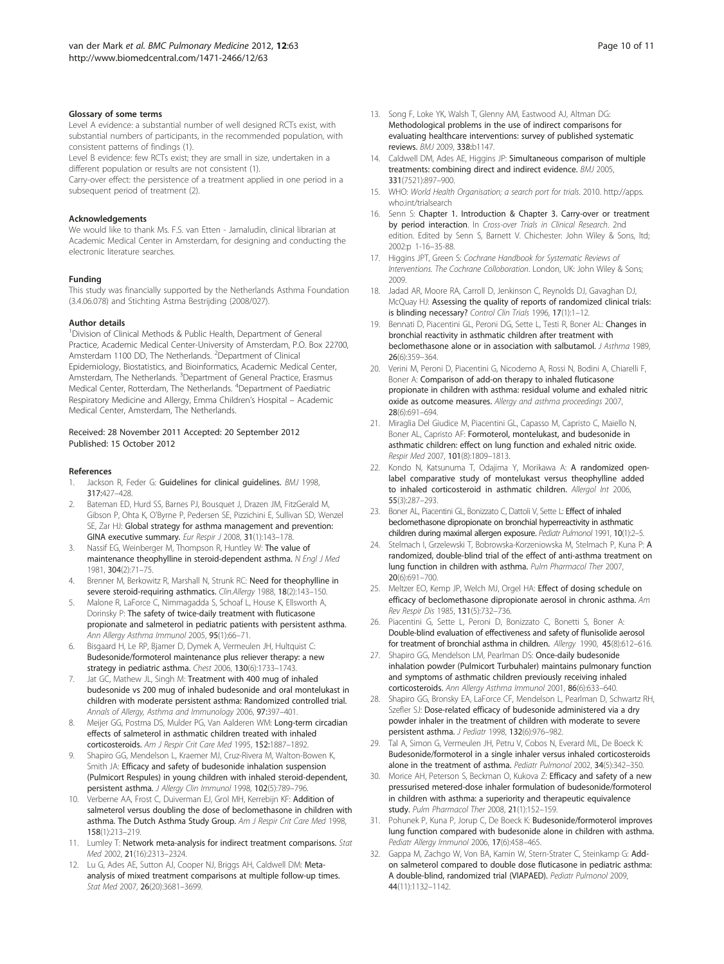#### <span id="page-9-0"></span>Glossary of some terms

Level A evidence: a substantial number of well designed RCTs exist, with substantial numbers of participants, in the recommended population, with consistent patterns of findings (1).

Level B evidence: few RCTs exist; they are small in size, undertaken in a different population or results are not consistent (1).

Carry-over effect: the persistence of a treatment applied in one period in a subsequent period of treatment (2).

#### Acknowledgements

We would like to thank Ms. F.S. van Etten - Jamaludin, clinical librarian at Academic Medical Center in Amsterdam, for designing and conducting the electronic literature searches.

#### Funding

This study was financially supported by the Netherlands Asthma Foundation (3.4.06.078) and Stichting Astma Bestrijding (2008/027).

#### Author details

<sup>1</sup> Division of Clinical Methods & Public Health, Department of General Practice, Academic Medical Center-University of Amsterdam, P.O. Box 22700, Amsterdam 1100 DD, The Netherlands. <sup>2</sup>Department of Clinical Epidemiology, Biostatistics, and Bioinformatics, Academic Medical Center, Amsterdam, The Netherlands. <sup>3</sup>Department of General Practice, Erasmus Medical Center, Rotterdam, The Netherlands. <sup>4</sup>Department of Paediatric Respiratory Medicine and Allergy, Emma Children's Hospital – Academic Medical Center, Amsterdam, The Netherlands.

#### Received: 28 November 2011 Accepted: 20 September 2012 Published: 15 October 2012

#### References

- 1. Jackson R, Feder G: Guidelines for clinical quidelines. BMJ 1998, 317:427–428.
- 2. Bateman ED, Hurd SS, Barnes PJ, Bousquet J, Drazen JM, FitzGerald M, Gibson P, Ohta K, O'Byrne P, Pedersen SE, Pizzichini E, Sullivan SD, Wenzel SE, Zar HJ: Global strategy for asthma management and prevention: GINA executive summary. Eur Respir J 2008, 31(1):143–178.
- 3. Nassif EG, Weinberger M, Thompson R, Huntley W: The value of maintenance theophylline in steroid-dependent asthma. N Engl J Med 1981, 304(2):71–75.
- 4. Brenner M, Berkowitz R, Marshall N, Strunk RC: Need for theophylline in severe steroid-requiring asthmatics. Clin.Allergy 1988, 18(2):143-150.
- 5. Malone R, LaForce C, Nimmagadda S, Schoaf L, House K, Ellsworth A, Dorinsky P: The safety of twice-daily treatment with fluticasone propionate and salmeterol in pediatric patients with persistent asthma. Ann Allergy Asthma Immunol 2005, 95(1):66-71.
- 6. Bisgaard H, Le RP, Bjamer D, Dymek A, Vermeulen JH, Hultquist C: Budesonide/formoterol maintenance plus reliever therapy: a new strategy in pediatric asthma. Chest 2006, 130(6):1733–1743.
- 7. Jat GC, Mathew JL, Singh M: Treatment with 400 mug of inhaled budesonide vs 200 mug of inhaled budesonide and oral montelukast in children with moderate persistent asthma: Randomized controlled trial. Annals of Allergy, Asthma and Immunology 2006, 97:397–401.
- 8. Meijer GG, Postma DS, Mulder PG, Van Aalderen WM: Long-term circadian effects of salmeterol in asthmatic children treated with inhaled corticosteroids. Am J Respir Crit Care Med 1995, 152:1887–1892.
- 9. Shapiro GG, Mendelson L, Kraemer MJ, Cruz-Rivera M, Walton-Bowen K, Smith JA: Efficacy and safety of budesonide inhalation suspension (Pulmicort Respules) in young children with inhaled steroid-dependent, persistent asthma. J Allergy Clin Immunol 1998, 102(5):789–796.
- 10. Verberne AA, Frost C, Duiverman EJ, Grol MH, Kerrebijn KF: Addition of salmeterol versus doubling the dose of beclomethasone in children with asthma. The Dutch Asthma Study Group. Am J Respir Crit Care Med 1998, 158(1):213–219.
- 11. Lumley T: Network meta-analysis for indirect treatment comparisons. Stat Med 2002, 21(16):2313–2324.
- 12. Lu G, Ades AE, Sutton AJ, Cooper NJ, Briggs AH, Caldwell DM: Metaanalysis of mixed treatment comparisons at multiple follow-up times. Stat Med 2007, 26(20):3681–3699.
- 13. Song F, Loke YK, Walsh T, Glenny AM, Eastwood AJ, Altman DG: Methodological problems in the use of indirect comparisons for evaluating healthcare interventions: survey of published systematic reviews. BMJ 2009, 338:b1147.
- 14. Caldwell DM, Ades AE, Higgins JP: Simultaneous comparison of multiple treatments: combining direct and indirect evidence. BMJ 2005, 331(7521):897–900.
- 15. WHO: World Health Organisation; a search port for trials. 2010. [http://apps.](http://apps.who.int/trialsearch) [who.int/trialsearch](http://apps.who.int/trialsearch)
- 16. Senn S: Chapter 1. Introduction & Chapter 3. Carry-over or treatment by period interaction. In Cross-over Trials in Clinical Research. 2nd edition. Edited by Senn S, Barnett V. Chichester: John Wiley & Sons, ltd; 2002:p 1-16–35-88.
- 17. Higgins JPT, Green S: Cochrane Handbook for Systematic Reviews of Interventions. The Cochrane Colloboration. London, UK: John Wiley & Sons; 2009.
- 18. Jadad AR, Moore RA, Carroll D, Jenkinson C, Reynolds DJ, Gavaghan DJ, McQuay HJ: Assessing the quality of reports of randomized clinical trials: is blinding necessary? Control Clin Trials 1996, 17(1):1–12.
- 19. Bennati D, Piacentini GL, Peroni DG, Sette L, Testi R, Boner AL: Changes in bronchial reactivity in asthmatic children after treatment with beclomethasone alone or in association with salbutamol. J Asthma 1989, 26(6):359–364.
- 20. Verini M, Peroni D, Piacentini G, Nicodemo A, Rossi N, Bodini A, Chiarelli F, Boner A: Comparison of add-on therapy to inhaled fluticasone propionate in children with asthma: residual volume and exhaled nitric oxide as outcome measures. Allergy and asthma proceedings 2007, 28(6):691–694.
- 21. Miraglia Del Giudice M, Piacentini GL, Capasso M, Capristo C, Maiello N, Boner AL, Capristo AF: Formoterol, montelukast, and budesonide in asthmatic children: effect on lung function and exhaled nitric oxide. Respir Med 2007, 101(8):1809–1813.
- 22. Kondo N, Katsunuma T, Odajima Y, Morikawa A: A randomized openlabel comparative study of montelukast versus theophylline added to inhaled corticosteroid in asthmatic children. Allergol Int 2006, 55(3):287–293.
- 23. Boner AL, Piacentini GL, Bonizzato C, Dattoli V, Sette L: Effect of inhaled beclomethasone dipropionate on bronchial hyperreactivity in asthmatic children during maximal allergen exposure. Pediatr Pulmonol 1991, 10(1):2–5.
- 24. Stelmach I, Grzelewski T, Bobrowska-Korzeniowska M, Stelmach P, Kuna P: A randomized, double-blind trial of the effect of anti-asthma treatment on lung function in children with asthma. Pulm Pharmacol Ther 2007, 20(6):691–700.
- 25. Meltzer EO, Kemp JP, Welch MJ, Orgel HA: Effect of dosing schedule on efficacy of beclomethasone dipropionate aerosol in chronic asthma. Am Rev Respir Dis 1985, 131(5):732–736.
- 26. Piacentini G, Sette L, Peroni D, Bonizzato C, Bonetti S, Boner A: Double-blind evaluation of effectiveness and safety of flunisolide aerosol for treatment of bronchial asthma in children. Allergy 1990, 45(8):612–616.
- Shapiro GG, Mendelson LM, Pearlman DS: Once-daily budesonide inhalation powder (Pulmicort Turbuhaler) maintains pulmonary function and symptoms of asthmatic children previously receiving inhaled corticosteroids. Ann Allergy Asthma Immunol 2001, 86(6):633–640.
- 28. Shapiro GG, Bronsky EA, LaForce CF, Mendelson L, Pearlman D, Schwartz RH, Szefler SJ: Dose-related efficacy of budesonide administered via a dry powder inhaler in the treatment of children with moderate to severe persistent asthma. J Pediatr 1998, 132(6):976–982.
- 29. Tal A, Simon G, Vermeulen JH, Petru V, Cobos N, Everard ML, De Boeck K: Budesonide/formoterol in a single inhaler versus inhaled corticosteroids alone in the treatment of asthma. Pediatr Pulmonol 2002, 34(5):342–350.
- 30. Morice AH, Peterson S, Beckman O, Kukova Z: Efficacy and safety of a new pressurised metered-dose inhaler formulation of budesonide/formoterol in children with asthma: a superiority and therapeutic equivalence study. Pulm Pharmacol Ther 2008, 21(1):152–159.
- 31. Pohunek P, Kuna P, Jorup C, De Boeck K: Budesonide/formoterol improves lung function compared with budesonide alone in children with asthma. Pediatr Allergy Immunol 2006, 17(6):458–465.
- 32. Gappa M, Zachgo W, Von BA, Kamin W, Stern-Strater C, Steinkamp G: Addon salmeterol compared to double dose fluticasone in pediatric asthma: A double-blind, randomized trial (VIAPAED). Pediatr Pulmonol 2009, 44(11):1132–1142.